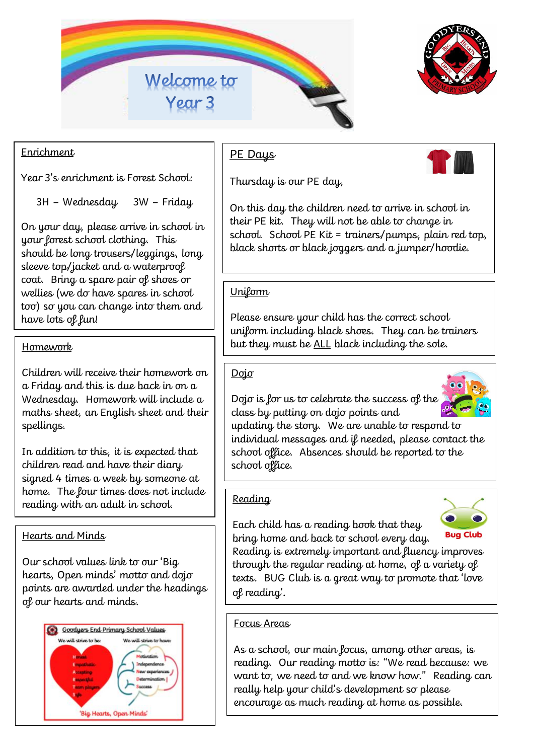



# Enrichment

Year 3's enrichment is Forest School:

3H – Wednesday 3W – Friday

On your day, please arrive in school in your forest school clothing. This should be long trousers/leggings, long sleeve top/jacket and a waterproof coat. Bring a spare pair of shoes or wellies (we do have spares in school too) so you can change into them and have lots of fun!

Children will receive their homework on a Friday and this is due back in on a Wednesday. Homework will include a maths sheet, an English sheet and their spellings.

In addition to this, it is expected that children read and have their diary signed 4 times a week by someone at home. The four times does not include reading with an adult in school.

#### Hearts and Minds

Our school values link to our 'Big hearts, Open minds' motto and dojo points are awarded under the headings of our hearts and minds.



# PE Days

Thursday is our PE day,

On this day the children need to arrive in school in their PE kit. They will not be able to change in school. School PE Kit = trainers/pumps, plain red top, black shorts or black joggers and a jumper/hoodie.

### **Uniform**

Please ensure your child has the correct school uniform including black shoes. They can be trainers Homework **but they must be <u>ALL</u> black including the sole.** 

#### Dojo

Dojo is for us to celebrate the success of the class by putting on dojo points and



updating the story. We are unable to respond to individual messages and if needed, please contact the school office. Absences should be reported to the school office.

#### Reading

Each child has a reading book that they bring home and back to school every day.



Reading is extremely important and fluency improves through the regular reading at home, of a variety of texts. BUG Club is a great way to promote that 'love of reading'.

#### Focus Areas

As a school, our main focus, among other areas, is reading. Our reading motto is: "We read because: we want to, we need to and we know how." Reading can really help your child's development so please encourage as much reading at home as possible.